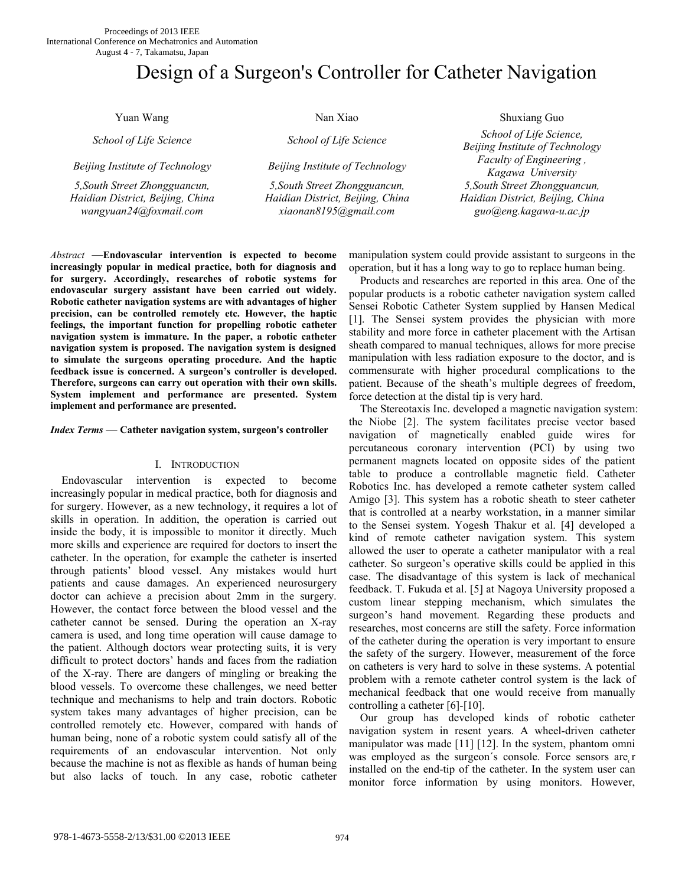# Design of a Surgeon's Controller for Catheter Navigation

| Yuan Wang                                                                                   | Nan Xiao                                                                                   | <b>Shuxiang Guo</b>                                                                         |
|---------------------------------------------------------------------------------------------|--------------------------------------------------------------------------------------------|---------------------------------------------------------------------------------------------|
| School of Life Science                                                                      | School of Life Science                                                                     | School of Life Science,<br>Beijing Institute of Technology                                  |
| Beijing Institute of Technology                                                             | Beijing Institute of Technology                                                            | Faculty of Engineering,<br>Kagawa University                                                |
| 5, South Street Zhongguancun,<br>Haidian District, Beijing, China<br>wangyuan24@foxmail.com | 5, South Street Zhongguancun,<br>Haidian District, Beijing, China<br>xiaonan8195@gmail.com | 5, South Street Zhongguancun,<br>Haidian District, Beijing, China<br>guo@eng.kagawa-u.ac.jp |
|                                                                                             |                                                                                            |                                                                                             |

*Abstract* —**Endovascular intervention is expected to become increasingly popular in medical practice, both for diagnosis and for surgery. Accordingly, researches of robotic systems for endovascular surgery assistant have been carried out widely. Robotic catheter navigation systems are with advantages of higher precision, can be controlled remotely etc. However, the haptic feelings, the important function for propelling robotic catheter navigation system is immature. In the paper, a robotic catheter navigation system is proposed. The navigation system is designed to simulate the surgeons operating procedure. And the haptic feedback issue isconcerned. A surgeon's controller isdeveloped. Therefore, surgeons can carry out operation with their own skills. System implement and performance are presented. System implement and performance are presented.**

# *Index Terms* — **Catheter navigation system, surgeon's controller**

# I. INTRODUCTION

Endovascular intervention is expected to become increasingly popular in medical practice, both for diagnosis and for surgery. However, as a new technology, it requires a lotof skills in operation. In addition, the operation is carried out inside the body, it is impossible to monitor it directly. Much more skills and experience are required for doctors to insert the catheter. In the operation, for example the catheter is inserted through patients' blood vessel. Any mistakes would hurt patients and cause damages. An experienced neurosurgery doctor can achieve a precision about 2mm in the surgery. However, the contact force between the blood vessel and the catheter cannot be sensed. During the operation an X-ray camera is used, and long time operation will cause damage to the patient. Although doctors wear protecting suits, it is very difficult to protect doctors' hands and faces from the radiation of the X-ray. There are dangers of mingling or breaking the blood vessels. To overcome these challenges, we need better technique and mechanisms to help and train doctors. Robotic system takes many advantages of higher precision, can be controlled remotely etc. However, compared with hands of human being, none of a robotic system could satisfy all of the requirements of an endovascular intervention. Not only because the machine is not as flexible as hands of human being but also lacks of touch. In any case, robotic catheter

manipulation system could provide assistant to surgeons in the operation, but it has a long way to go to replace human being.

Products and researches are reported in this area. One of the popular products is a robotic catheter navigation system called Sensei Robotic Catheter System supplied by Hansen Medical [1]. The Sensei system provides the physician with more stability and more force in catheter placement with the Artisan sheath compared to manual techniques, allows for more precise manipulation with less radiation exposure to the doctor, and is commensurate with higher procedural complications to the patient. Because of the sheath's multiple degrees of freedom, force detection at the distal tip is very hard.

The Stereotaxis Inc. developed a magnetic navigation system: the Niobe [2]. The system facilitates precise vector based navigation of magnetically enabled guide wires for percutaneous coronary intervention (PCI) by using two permanent magnets located on opposite sides of the patient table to produce a controllable magnetic field. Catheter Robotics Inc. has developed a remote catheter system called Amigo [3]. This system has a robotic sheath to steer catheter that is controlled at a nearby workstation, in a manner similar to the Sensei system. Yogesh Thakur et al. [4] developed a kind of remote catheter navigation system. This system allowed the user to operate a catheter manipulator with a real catheter. So surgeon's operative skills could be applied in this case. The disadvantage of this system is lack of mechanical feedback. T. Fukuda et al. [5] at Nagoya University proposed a custom linear stepping mechanism, which simulates the surgeon's hand movement. Regarding these products and researches, most concerns are still the safety. Force information of the catheter during the operation is very important to ensure the safety of the surgery. However, measurement of the force on catheters is very hard to solve in these systems. A potential problem with a remote catheter control system is the lack of mechanical feedback that one would receive from manually controlling a catheter [6]-[10].

Our group has developed kinds of robotic catheter navigation system in resent years. A wheel-driven catheter manipulator was made [11] [12]. In the system, phantom omni was employed as the surgeon's console. Force sensors are r installed on the end-tip of the catheter. In the system user can monitor force information by using monitors. However,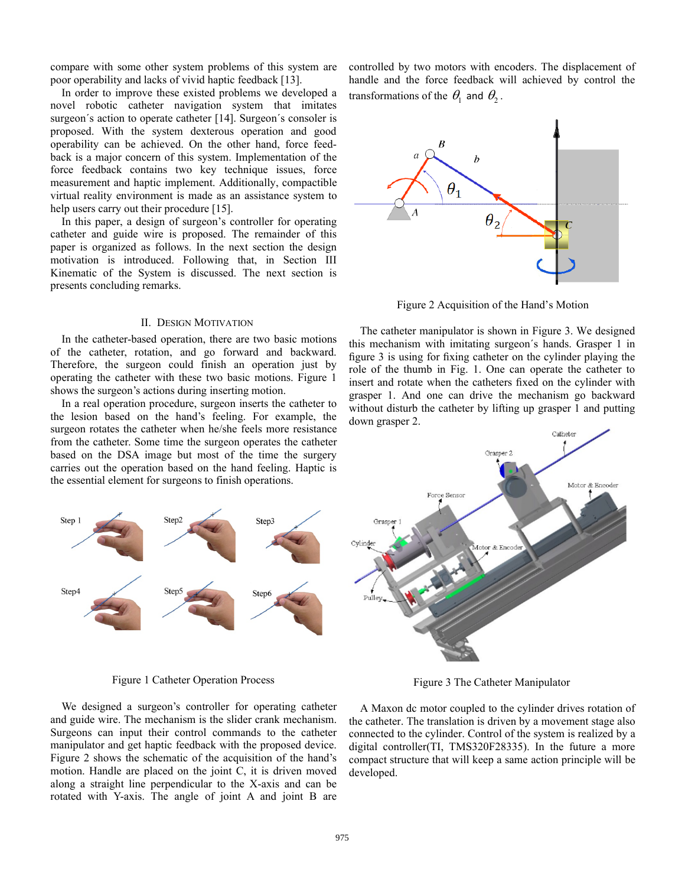compare with some other system problems of this system are poor operability and lacks of vivid haptic feedback [13].

In order to improve these existed problems we developed a novel robotic catheter navigation system that imitates surgeon's action to operate catheter [14]. Surgeon's consoler is proposed. With the system dexterous operation and good operability can be achieved. On the other hand, force feedback is a major concern of this system. Implementation of the force feedback contains two key technique issues, force measurement and haptic implement. Additionally, compactible measurement and haptic implement. Additionally, compactions  $\mathcal{F}$   $\setminus \mathcal{H}_1$ help users carry out their procedure [15].

In this paper, a design of surgeon's controller for operating catheter and guide wire is proposed. The remainder of this paper is organized as follows. In the next section the design motivation is introduced. Following that, in Section III Kinematic of the System is discussed. The next section is presents concluding remarks.

# II. DESIGN MOTIVATION

In the catheter-based operation, there are two basic motions of the catheter, rotation, and go forward and backward. Therefore, the surgeon could finish an operation just by operating the catheter with these two basic motions. Figure 1 shows the surgeon's actions during inserting motion.

In a real operation procedure, surgeon inserts the catheter to the lesion based on the hand's feeling. For example, the surgeon rotates the catheter when he/she feels more resistance from the catheter. Some time the surgeon operates the catheter based on the DSA image but most of the time the surgery carries out the operation based on the hand feeling. Haptic is the essential element for surgeons to finish operations.

Step3

Step6

Step2

Ster

Step 1

Step4

controlled by two motors with encoders. The displacement of handle and the force feedback will achieved by control the transformations of the  $\theta_1$  and  $\theta_2$ . .



Figure 2 Acquisition of the Hand's Motion

The catheter manipulator is shown in Figure 3. We designed this mechanism with imitating surgeon´s hands. Grasper 1 in figure 3 is using for fixing catheter on the cylinder playing the role of the thumb in Fig. 1. One can operate the catheter to insert and rotate when the catheters fixed on the cylinder with grasper 1. And one can drive the mechanism go backward without disturb the catheter by lifting up grasper 1 and putting down grasper 2.



Figure 1 Catheter Operation Process

Figure 3 The Catheter Manipulator

We designed a surgeon's controller for operating catheter and guide wire. The mechanism is the slider crank mechanism. Surgeons can input their control commands to the catheter manipulator and get haptic feedback with the proposed device. Figure 2 shows the schematic of the acquisition of the hand's motion. Handle are placed on the joint C, it is driven moved along a straight line perpendicular to the X-axis and can be rotated with Y-axis. The angle of joint A and joint B are

A Maxon dc motor coupled to the cylinder drives rotation of the catheter.The translation is driven by a movement stage also connected to the cylinder. Control of the system is realized by a digital controller(TI, TMS320F28335). In the future a more compact structure that will keep a same action principle will be developed.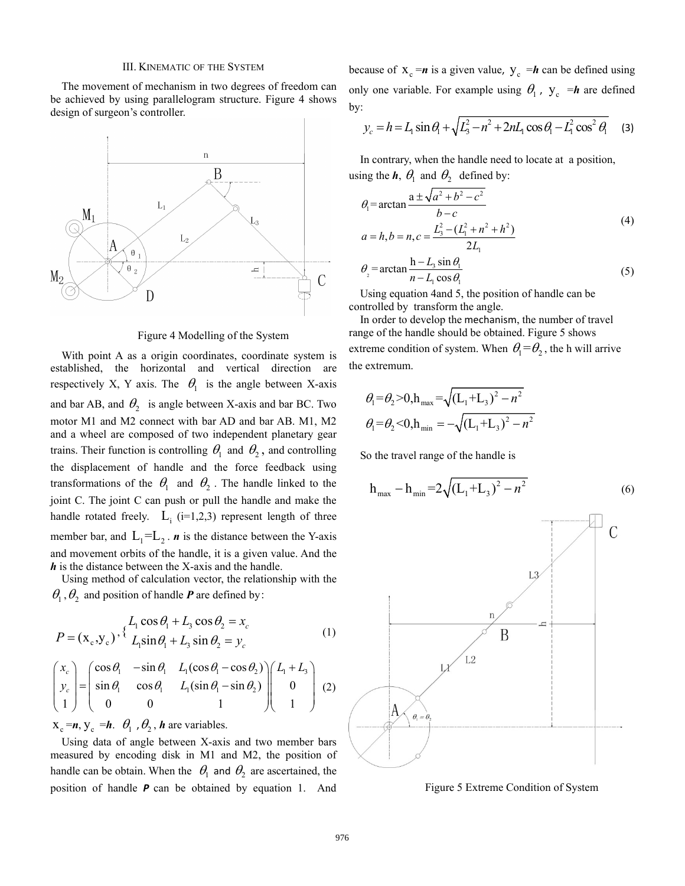# III. KINEMATIC OF THE SYSTEM

The movement of mechanism in two degrees of freedom can be achieved by using parallelogram structure. Figure 4 shows design of surgeon's controller.



Figure 4 Modelling of the System

established, the horizontal and vertical direction are respectively X, Y axis. The  $\theta_1$  is the angle between X-axis and bar AB, and  $\theta_2$  is angle between X-axis and bar BC. Two  $U_1 - U_2 > 0, \Pi_{\text{max}}$ motor M1 and M2 connect with bar AD and bar AB. M1, M2 and a wheel are composed of two independent planetary gear trains. Their function is controlling  $\theta_1$  and  $\theta_2$ , and controlling So the travel range the displacement of handle and the force feedback using transformations of the  $\theta_1$  and  $\theta_2$ . The handle linked to the  $h = -h$ joint C. The joint C can push or pull the handle and make the handle rotated freely.  $L_i$  (i=1,2,3) represent length of three M<sub>1</sub><br>  $\theta_1 = \arctan \frac{a \pm \sqrt{a^2 + b^2 - c^2}}{b - c}$ <br>  $\theta_2 = \arctan \frac{b - b}{b - c}$ <br>  $\theta_3 = \arctan \frac{b - b}{c}$ <br>  $\theta_4 = \arctan \frac{b - b}{c}$ <br>  $\theta_5 = \arctan \frac{b - b}{c}$ <br>  $\theta_6 = \arctan \frac{b - b}{c}$ <br>  $\theta_7 = \arctan \frac{b - b}{c}$ <br>  $\theta_8 = \arctan \frac{b - b}{c}$ <br>
Uning equals the pro and movement orbits of the handle, it is a given value. And the *h* is the distance between the X-axis and the handle. Figure 4 Modelling of the System<br>
Figure 4 Modelling of the System<br>
motion delve to develop the metanism, the angle.<br>
With point A as a origin coordinates, coordinate system<br>
range of the handle be obtained. Figure 3-<br>
Sy on is controlling  $\theta_1$  and  $\theta_2$ , and controlling<br>
of handle and the force feedback using<br>
the  $\theta_1$  and  $\theta_2$ . The handle linked to the<br>  $\theta_1$  can push or pull the handle and make the<br>  $\theta_1 = L_2 \cdot n$  is the distance

Using method of calculation vector, the relationship with the  $\theta_1$ ,  $\theta_2$  and position of handle **P** are defined by:

$$
P = (\mathbf{x}_c, \mathbf{y}_c) \left\{ \begin{array}{l} L_1 \cos \theta_1 + L_3 \cos \theta_2 = x_c \\ L_1 \sin \theta_1 + L_3 \sin \theta_2 = y_c \end{array} \right. \tag{1}
$$
\n
$$
\begin{pmatrix} x_c \\ y_c \\ 1 \end{pmatrix} = \begin{pmatrix} \cos \theta_1 & -\sin \theta_1 & L_1(\cos \theta_1 - \cos \theta_2) \\ \sin \theta_1 & \cos \theta_1 & L_1(\sin \theta_1 - \sin \theta_2) \\ 0 & 0 & 1 \end{pmatrix} \begin{pmatrix} L_1 + L_3 \\ 0 \\ 1 \end{pmatrix} \tag{2}
$$

 $X_c = n$ ,  $Y_c = h$ .  $\theta_1$ ,  $\theta_2$ , **h** are variables.

Using data of angle between X-axis and two member bars measured by encoding disk in M1 and M2, the position of handle can be obtain. When the  $\theta_1$  and  $\theta_2$  are ascertained, the position of handle *P* can be obtained by equation 1. And

because of  $x_c = n$  is a given value,  $y_c = h$  can be defined using only one variable. For example using  $\theta_1$ ,  $y_c = h$  are defined by: en value,  $y_c = h$  can be defined using<br>ample using  $\theta_1$ ,  $y_c = h$  are defined<br> $\frac{2}{3} - n^2 + 2nL_1 \cos \theta_1 - L_1^2 \cos^2 \theta_1$  (3)<br>andle need to locate at a position, ause of  $X_c = n$  is a given value,  $Y_c = h$  can be defined using<br>y one variable. For example using  $\theta_1$ ,  $Y_c = h$  are defined<br> $y_c = h = L_1 \sin \theta_1 + \sqrt{L_3^2 - n^2 + 2nL_1 \cos \theta_1 - L_1^2 \cos^2 \theta_1}$  (3)<br>n contrary, when the handle need to l

$$
y_c = h = L_1 \sin \theta_1 + \sqrt{L_3^2 - n^2 + 2nL_1 \cos \theta_1 - L_1^2 \cos^2 \theta_1}
$$
 (3)

In contrary, when the handle need to locate at a position, using the  $h$ ,  $\theta_1$  and  $\theta_2$  defined by:

because of 
$$
X_c = n
$$
 is a given value,  $Y_c = h$  can be defined using  
\nonly one variable. For example using  $\theta_1$ ,  $Y_c = h$  are defined  
\nby:  
\n $y_c = h = L_1 \sin \theta_1 + \sqrt{L_3^2 - n^2 + 2nL_1 \cos \theta_1 - L_1^2 \cos^2 \theta_1}$  (3)  
\nIn contrary, when the handle need to locate at a position,  
\nusing the *h*,  $\theta_1$  and  $\theta_2$  defined by:  
\n $\theta_1 = \arctan \frac{a \pm \sqrt{a^2 + b^2 - c^2}}{b - c}$   
\n $a = h, b = n, c = \frac{L_3^2 - (L_1^2 + n^2 + h^2)}{2L_1}$  (4)  
\n $\theta_2 = \arctan \frac{h - L_3 \sin \theta_1}{n - L_1 \cos \theta_1}$  (5)  
\nUsing equation 4 and 5, the position of handle can be  
\ncontrolled by transform the angle.  
\nIn order to develop the mechanism, the number of travel  
\nrange of the handle should be obtained. Figure 5 shows  
\nextreme condition of system. When  $\theta_1 = \theta_2$ , the h will arrive  
\nthe extremum.  
\n $\theta_1 = \theta_2 > 0, h_{\text{max}} = \sqrt{(L_1 + L_3)^2 - n^2}$   
\n $\theta_1 = \theta_2 < 0, h_{\text{min}} = -\sqrt{(L_1 + L_3)^2 - n^2}$   
\nSo the travel range of the handle is  
\n $h_{\text{max}} - h_{\text{min}} = 2\sqrt{(L_1 + L_3)^2 - n^2}$  (6)

Using equation 4and 5, the position of handle can be controlled by transform the angle.

With point A as a origin coordinates, coordinate system is extreme condition of system. When  $\theta_1 = \theta_2$ , the h will arrive In order to develop the mechanism, the number of travel range of the handle should be obtained. Figure 5 shows the extremum. =  $h, b = n, c = \frac{p_3 - (p_1 + h + h)}{2L_1}$ <br>
= arctan  $\frac{h - L_3 \sin \theta_1}{n - L_1 \cos \theta_1}$  (5)<br>
ing equation 4 and 5, the position of handle can be<br>
olled by transform the angle.<br>
order to develop the mechanism, the number of travel<br>
of

$$
\theta_1 = \theta_2 > 0, h_{\text{max}} = \sqrt{(L_1 + L_3)^2 - n^2}
$$
  

$$
\theta_1 = \theta_2 < 0, h_{\text{min}} = -\sqrt{(L_1 + L_3)^2 - n^2}
$$

So the travel range of the handle is

B  
\nB  
\n
$$
\begin{bmatrix}\n\mathbf{B} & \mathbf{B} & \mathbf{B} & \mathbf{B} & \mathbf{B} & \mathbf{B} & \mathbf{B} & \mathbf{B} \\
\mathbf{B} & \mathbf{B} & \mathbf{B} & \mathbf{B} & \mathbf{B} & \mathbf{B} \\
\mathbf{C} & \mathbf{D} & \mathbf{B} & \mathbf{B} & \mathbf{B} \\
\mathbf{D} & \mathbf{C} & \mathbf{B} & \mathbf{B} & \mathbf{B} \\
\mathbf{D} & \mathbf{D} & \mathbf{B} & \mathbf{B} & \mathbf{B} \\
\mathbf{D} & \mathbf{D} & \mathbf{B} & \mathbf{B} & \mathbf{B} \\
\mathbf{D} & \mathbf{D} & \mathbf{D} & \mathbf{B} & \mathbf{B} \\
\mathbf{D} & \mathbf{D} & \mathbf{D} & \mathbf{B} & \mathbf{B} \\
\mathbf{D} & \mathbf{D} & \mathbf{D} & \mathbf{D} & \mathbf{B} \\
\mathbf{D} & \mathbf{D} & \mathbf{D} & \mathbf{D} & \mathbf{B} \\
\mathbf{D} & \mathbf{D} & \mathbf{D} & \mathbf{D} & \mathbf{B} \\
\mathbf{D} & \mathbf{D} & \mathbf{D} & \mathbf{D} \\
\mathbf{D} & \mathbf{D} & \mathbf{D} & \mathbf{D} \\
\mathbf{D} & \mathbf{D} & \mathbf{D} & \mathbf{D} \\
\mathbf{D} & \mathbf{D} & \mathbf{D} & \mathbf{D} \\
\mathbf{D} & \mathbf{D} & \mathbf{D} & \mathbf{D} \\
\mathbf{D} & \mathbf{D} & \mathbf{D} & \mathbf{D} \\
\mathbf{D} & \mathbf{D} & \mathbf{D} & \mathbf{D} \\
\mathbf{D} & \mathbf{D} & \mathbf{D} & \mathbf{D} \\
\mathbf{D} & \mathbf{D} & \mathbf{D} & \mathbf{D} \\
\mathbf{D} & \mathbf{D} & \mathbf{D} & \mathbf{D} \\
\mathbf{D} & \mathbf{D} & \mathbf{D} & \mathbf{D} \\
\mathbf{D} & \mathbf{D} & \mathbf{D} & \mathbf{D}
$$

Figure 5 Extreme Condition of System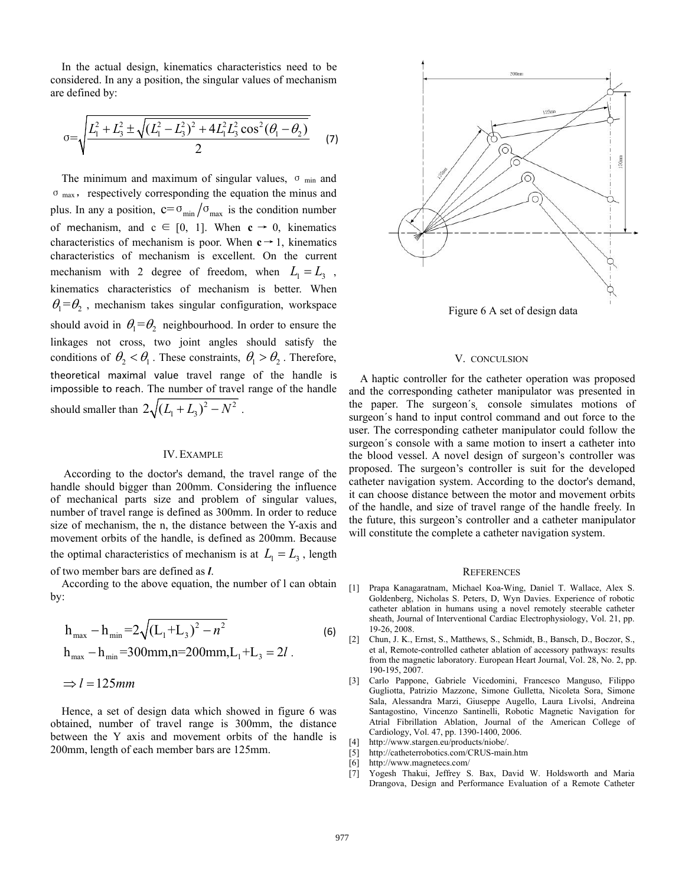In the actual design, kinematics characteristics need to be considered. In any a position, the singular values of mechanism are defined by:

$$
\sigma = \sqrt{\frac{L_1^2 + L_3^2 \pm \sqrt{(L_1^2 - L_3^2)^2 + 4L_1^2L_3^2\cos^2(\theta_1 - \theta_2)}}{2}}
$$
 (7)

The minimum and maximum of singular values,  $\sigma$ <sub>min</sub> and  $\sigma_{\text{max}}$ , respectively corresponding the equation the minus and of mechanism, and  $c \in [0, 1]$ . When  $c \rightarrow 0$ , kinematics characteristics of mechanism is poor. When  $c \rightarrow 1$ , kinematics characteristics of mechanism is excellent. On the current In the actual design, kinematics characteristies need to be<br>
considered. In any a position, the singular values of mechanism<br>
or  $\sigma = \sqrt{\frac{L_1^2 + L_3^2 \pm \sqrt{(L_1^2 - L_3^2)^2 + 4L_1^2 L_3^2 \cos^2(\theta_1 - \theta_2)}}{2}}$ <br>
(7)<br>
The minimum and In the actual design, kinematics characteristics need to be<br>
considered. In any a position, the singular values of mechanism<br>
are defined by:<br>  $\sigma = \sqrt{\frac{L_1^2 + L_2^2 \pm \sqrt{(L_1^2 - L_2^2)^2 + 4L_1^2 L_3^2 \cos^2(\theta_1 - \theta_2)}}{2}}$ <br>
The min linkages not cross, two joint angles should satisfy the In the actual design, kinematics characteristics areed to be<br>considered. In any a position, the singular values of mechanism<br>recofined by:<br> $\sigma = \sqrt{\frac{I_1^2 + I_2^2 \pm \sqrt{(I_1^2 - I_2^2)^2 + 4I_1^2 I_2^2 \cos^2(Q_1 - Q_2)}}{2}}$ <br>
The minimum a theoretical maximal value travel range of the handle is impossible to reach. The number of travel range of the handle plus. In any a position,  $c = o_{min}/o_{max}$  is the condition number<br>of mechanism, and  $c \in [0, 1]$ . When  $c \rightarrow 0$ , kinematics<br>characteristics of mechanism is poor. When  $c \rightarrow 1$ , kinematics<br>characteristics of mechanism is excellen power in any objective of mechanism, in the characteristics of mechanism is poor. When  $e = 1$ , kmennatics<br>characteristics of mechanism is poor. When  $e \rightarrow 1$ , kmennatics<br>characteristics of mechanism is secellent. On the cu

According to the doctor's demand, the travel range of the handle should bigger than 200mm. Considering the influence of mechanical parts size and problem of singular values, number of travel range is defined as 300mm. In order to reduce size of mechanism, the n, the distance between the Y-axis and movement orbits of the handle, is defined as 200mm. Because of two member bars are defined as *l*. WHERE<br>
SIMPLE the travel range of the proposed. The surgeon's console with a street proposed. A novel<br>
the blood vessel. A novel<br>
mm. Considering the influence calter navigation system<br>
problem of singular values, it can

According to the above equation, the number of l can obtain  $\begin{bmatrix} 1 \end{bmatrix}$ by:

$$
h_{\max} - h_{\min} = 2\sqrt{(L_1 + L_3)^2 - n^2}
$$
  
\n
$$
h_{\max} - h_{\min} = 300 \text{mm}, n = 200 \text{mm}, L_1 + L_3 = 2l
$$
 (6)

$$
\Rightarrow l = 125
$$
mm

Hence, a set of design data which showed in figure 6 was obtained, number of travel range is 300mm, the distance between the Y axis and movement orbits of the handle is  $\begin{bmatrix} 4 \end{bmatrix}$ 200mm, length of each member bars are 125mm.



Figure 6 A set of design data

## V. CONCULSION

ematics of mechanism is better When  $\vec{H} = \vec{H}$ , mechanism is better When  $\vec{H} = \vec{H}$ , mechanism is better When  $\vec{H} = \vec{H}$ , mechanism is better When  $\vec{H} = \vec{H}$ , mechanism is better when  $\vec{H} = \vec{H}$ . These cons  $-2\epsilon$ , meaning uses singure continues and with the singular company of A set of design data<br>
and avoid in  $\theta_1 = \theta_2$  experimented and state the design of the basis of the content of the content of the content of the sin A haptic controller for the catheter operation was proposed and the corresponding catheter manipulator was presented in the paper. The surgeon's, console simulates motions of surgeon´s hand to input control command and out force to the user. The corresponding catheter manipulator could follow the surgeon´s console with a same motion to insert a catheter into the blood vessel. A novel design of surgeon's controller was proposed. The surgeon's controller is suit for the developed catheter navigation system. According to the doctor's demand, it can choose distance between the motor and movement orbits of the handle, and size of travel range of the handle freely. In the future, this surgeon's controller and a catheter manipulator will constitute the complete a catheter navigation system.

### **REFERENCES**

- Prapa Kanagaratnam, Michael Koa-Wing, Daniel T. Wallace, Alex S. Goldenberg, Nicholas S. Peters, D, Wyn Davies. Experience of robotic catheter ablation in humans using a novel remotely steerable catheter sheath, Journal of Interventional Cardiac Electrophysiology, Vol. 21, pp. 19-26, 2008.
- [2] Chun, J. K., Ernst, S., Matthews, S., Schmidt, B., Bansch, D., Boczor, S., et al, Remote-controlled catheter ablation of accessory pathways: results from the magnetic laboratory.European Heart Journal, Vol. 28, No. 2, pp. 190-195, 2007.
- [3] Carlo Pappone, Gabriele Vicedomini, Francesco Manguso, Filippo Gugliotta, Patrizio Mazzone, Simone Gulletta, Nicoleta Sora, Simone Sala, Alessandra Marzi, Giuseppe Augello, Laura Livolsi, Andreina Santagostino, Vincenzo Santinelli, Robotic Magnetic Navigation for Atrial Fibrillation Ablation, Journal of the American College of Cardiology, Vol. 47, pp. 1390-1400, 2006.
- http://www.stargen.eu/products/niobe/.
- [5] http://catheterrobotics.com/CRUS-main.htm
- [6] http://www.magnetecs.com/
- [7] Yogesh Thakui, Jeffrey S. Bax, David W. Holdsworth and Maria Drangova, Design and Performance Evaluation of a Remote Catheter